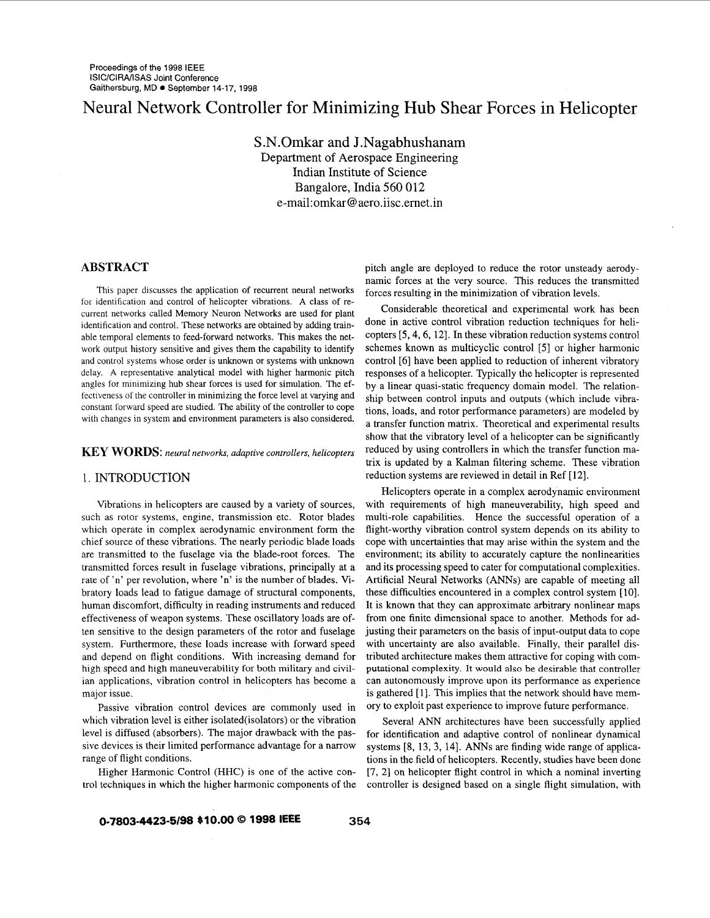# Neural Network Controller for Minimizing Hub Shear Forces in Helicopter

S.N.Omkar and J.Nagabhushanam Department of Aerospace Engineering Indian Institute of Science Bangalore, India 560 012 e-mail : omkar @ aero. iisc .ernet. in

## **ABSTRACT**

This paper discusses the application of recurrent neural networks for identification and control of helicopter vibrations. **A** class of recurrent networks called Memory Neuron Networks are used for plant identification and control. These networks are obtained by adding trainable temporal elements to feed-forward networks. This makes the network output history sensitive and gives them the capability to identify and control systems whose order is unknown or systems with unknown delay. **A** representative analytical model with higher harmonic pitch angles for minimizing hub shear forces is used for simulation. The effectiveness of the controller in minimizing the force level at varying and constant forward speed are studied. The ability of the controller to cope with changes in system and environment parameters is also considered.

**KEY WORDS:** *neural networks, adaptive controllers, helicopters* 

### 1. INTRODUCTION

Vibrations in helicopters are caused by a variety of sources, such as rotor systems, engine, transmission etc. Rotor blades which operate in complex aerodynamic environment form the chief source of these vibrations. The nearly periodic blade loads are transmitted to the fuselage via the blade-root forces. The transmitted forces result in fuselage vibrations, principally at a rate of 'n' per revolution, where 'n' is the number of blades. Vibratory loads lead to fatigue damage of structural components, human discomfort, difficulty in reading instruments and reduced effectiveness of weapon systems. These oscillatory loads are often sensitive to the design parameters of the rotor and fuselage system. Furthermore, these loads increase with forward speed and depend on flight conditions. With increasing demand for high speed and high maneuverability for both military and civilian applications, vibration control in helicopters has become a major issue.

Passive vibration control devices are commonly used in which vibration level is either isolated (isolators) or the vibration level is diffused (absorbers). The major drawback with the passive devices is their limited performance advantage for a narrow range of flight conditions.

Higher Harmonic Control (HHC) is one of the active control techniques in which the higher harmonic components of the pitch angle are deployed to reduce the rotor unsteady aerodynamic forces at the very source. This reduces the transmitted forces resulting in the minimization of vibration levels.

Considerable theoretical and experimental work has been done in active control vibration reduction techniques for helicopters [5,4,6, 121. In these vibration reduction systems control schemes known as multicyclic control [5] or higher harmonic control [6] have been applied to reduction of inherent vibratory responses of a helicopter. Typically the helicopter is represented by a linear quasi-static frequency domain model. The relationship between control inputs and outputs (which include vibrations, loads, and rotor performance parameters) are modeled by a transfer function matrix. Theoretical and experimental results show that the vibratory level of a helicopter can be significantly reduced by using controllers in which the transfer function matrix is updated by a Kalman filtering scheme. These vibration reduction systems are reviewed in detail in Ref [12].

Helicopters operate in a complex aerodynamic environment with requirements of high maneuverability, high speed and multi-role capabilities. Hence the successful operation of a flight-worthy vibration control system depends on its ability to cope with uncertainties that may arise within the system and the environment; its ability to accurately capture the nonlinearities and its processing speed to cater for computational complexities. Artificial Neural Networks (ANNs) are capable of meeting all these difficulties encountered in a complex control system [10]. It is known that they can approximate arbitrary nonlinear maps from one finite dimensional space to another. Methods for adjusting their parameters on the basis of input-output data to cope with uncertainty are also available. Finally, their parallel distributed architecture makes them attractive for coping with com**putational** complexity. It **would** also be desirable that controller can autonomously improve upon its performance as experience is gathered [1]. This implies that the network should have memory to exploit past experience to improve future performance.

Several **ANN** architectures have been successfully applied for identification and adaptive control of nonlinear dynamical systems **[S,** 13, *3,* 141. **ANNs** are finding wide range **of** applications in the field of helicopters. Recently, studies have been done [7, 21 on helicopter flight control in which a nominal inverting controller is designed based on a single flight simulation, with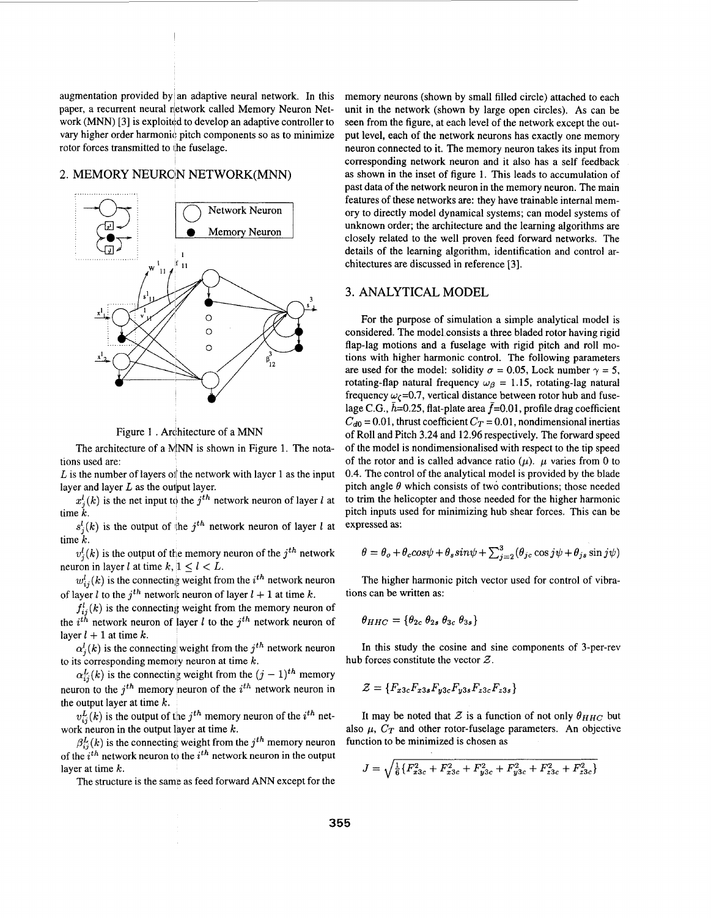augmentation provided by an adaptive neural network. In this paper, a recurrent neural network called Memory Neuron Network (MNN)  $[3]$  is exploited to develop an adaptive controller to vary higher order harmonic pitch components so as to minimize rotor forces transmitted to the fuselage.

#### **2.** MEMORY NEURClN NETWORK(MNN)



Figure **1** . Architecture of a MNN

The architecture of a MNN is shown in Figure 1. The notations used are:

 $L$  is the number of layers of the network with layer 1 as the input layer and layer  $L$  as the output layer.

 $x_i^l(k)$  is the net input to the  $j^{th}$  network neuron of layer l at time *k.* 

 $s_i^l(k)$  is the output of the *j<sup>th</sup>* network neuron of layer *l* at time *k.* 

 $v_i^l(k)$  is the output of the memory neuron of the  $j^{th}$  network neuron in layer *l* at time  $k, 1 \le l \le L$ .

 $w_{ij}^{l}(k)$  is the connecting weight from the  $i^{th}$  network neuron of layer *l* to the  $j<sup>th</sup>$  network neuron of layer  $l + 1$  at time *k*.

 $f_{ij}^l(k)$  is the connecting weight from the memory neuron of the  $i^{th}$  network neuron of layer l to the  $j^{th}$  network neuron of layer  $l + 1$  at time  $k$ .

 $\alpha_i^l(k)$  is the connecting weight from the  $j^{th}$  network neuron to its corresponding memory neuron at time *k.* 

 $\alpha_{ij}^L(k)$  is the connecting weight from the  $(j-1)^{th}$  memory neuron to the *jth* memory neuron of the *ith* network neuron in the output layer at time *k.* 

 $v_{ii}^L(k)$  is the output of the *j<sup>th</sup>* memory neuron of the *i*<sup>th</sup> network neuron in the output layer at time *k.* 

 $\beta_{ij}^L(k)$  is the connecting weight from the  $j^{th}$  memory neuron of the *ith* network neuron to the *ith* network neuron in the output layer at time *k.* 

The structure is the same as feed forward ANN except for the

memory neurons (shown by small filled circle) attached to each unit in the network (shown by large open circles). As can be seen from the figure, at each level of the network except the output level, each of the network neurons has exactly one memory neuron connected to it. The memory neuron takes its input from corresponding network neuron and it also has a self feedback as shown in the inset of figure 1. This leads to accumulation of past data of the network neuron in the memory neuron. The main features of these networks are: they have trainable internal memory to directly model dynamical systems; can model systems of unknown order; the architecture and the learning algorithms are closely related to the well proven feed forward networks. The details of the learning algorithm, identification and control architectures are discussed in reference **[3].** 

#### **3.** ANALYTICAL MODEL

For the purpose of simulation a simple analytical model is considered. The model consists a three bladed rotor having rigid flap-lag motions and a fuselage with rigid pitch and roll motions with higher harmonic control. The following parameters are used for the model: solidity  $\sigma = 0.05$ , Lock number  $\gamma = 5$ , rotating-flap natural frequency  $\omega_{\beta} = 1.15$ , rotating-lag natural frequency  $\omega_c$ =0.7, vertical distance between rotor hub and fuselage C.G.,  $\bar{h}$ =0.25, flat-plate area  $\bar{f}$ =0.01, profile drag coefficient  $C_{d0}$  = 0.01, thrust coefficient  $C_T$  = 0.01, nondimensional inertias of Roll and Pitch **3.24** and **12.96** respectively. The forward speed of the model is nondimensionalised with respect to the tip speed of the rotor and is called advance ratio  $(\mu)$ .  $\mu$  varies from 0 to 0.4. The control of the analytical model is provided by the blade pitch angle  $\theta$  which consists of two contributions; those needed to trim the helicopter and those needed for the higher harmonic pitch inputs used for minimizing hub shear forces. This can be expressed as:

$$
\theta = \theta_o + \theta_c \cos \psi + \theta_s \sin \psi + \sum_{j=2}^{3} (\theta_{jc} \cos j\psi + \theta_{js} \sin j\psi)
$$

The higher harmonic pitch vector used for control of vibrations can be written as:

$$
\theta_{HHC}=\{\theta_{2c}~\theta_{2s}~\theta_{3c}~\theta_{3s}\}
$$

In this study the cosine and sine components of 3-per-rev hub forces constitute the vector *Z.* 

$$
\mathcal{Z} = \{F_{x3c}F_{x3s}F_{y3c}F_{y3s}F_{z3c}F_{z3s}\}
$$

It may be noted that  $Z$  is a function of not only  $\theta_{HHC}$  but also  $\mu$ ,  $C_T$  and other rotor-fuselage parameters. An objective function to be minimized is chosen as

$$
J = \sqrt{\frac{1}{6} \{ F_{x3c}^2 + F_{x3c}^2 + F_{y3c}^2 + F_{y3c}^2 + F_{z3c}^2 + F_{z3c}^2 \}}
$$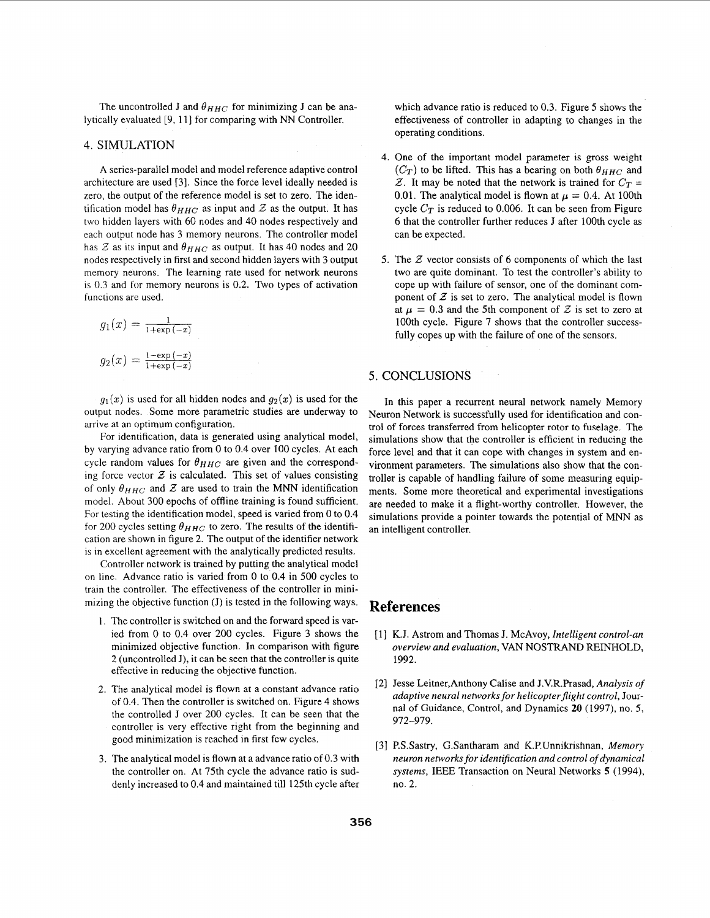The uncontrolled J and  $\theta_{HHC}$  for minimizing J can be analytically evaluated [9, l l] for comparing with NN Controller.

#### 4. SIMULATION

**A** series-parallel model and model reference adaptive control architecture are used 131. Since the force level ideally needed is zero, the output of the reference model is set to zero. The identification model has  $\theta_{HHC}$  as input and  $Z$  as the output. It has two hidden layers with 60 nodes and 40 nodes respectively and each output node has 3 memory neurons. The controller model has  $Z$  as its input and  $\theta_{HHC}$  as output. It has 40 nodes and 20 nodes respectively in first and second hidden layers with 3 output memory neurons. The learning rate used for network neurons is 0.3 and for memory neurons is 0.2. Two types of activation functions are used.

$$
g_1(x) = \frac{1}{1 + \exp(-x)}
$$

$$
g_2(x) = \frac{1 - \exp(-x)}{1 + \exp(-x)}
$$

 $g_1(x)$  is used for all hidden nodes and  $g_2(x)$  is used for the output nodes. Some more parametric studies are underway to arrive at an optimum configuration.

For identification, data is generated using analytical model, by varying advance ratio from 0 to 0.4 over 100 cycles. At each cycle random values for  $\theta_{HHC}$  are given and the corresponding force vector  $Z$  is calculated. This set of values consisting of only  $\theta_{HHC}$  and  $Z$  are used to train the MNN identification model. About 300 epochs of offline training is found sufficient. For testing the identification model, speed is varied from 0 to 0.4 for 200 cycles setting  $\theta_{HHC}$  to zero. The results of the identification are shown in figure *2.* The output of the identifier network is in excellent agreement with the analytically predicted results.

Controller network is trained by putting the analytical model on line. Advance ratio is varied from 0 to 0.4 in 500 cycles to train the controller. The effectiveness of the controller in minimizing the objective function (J) is tested in the following ways.

- 1. The controller is switched on and the forward speed is varied from 0 to 0.4 over 200 cycles. Figure *3* shows the minimized objective function. In comparison with figure 2 (uncontrolled J), it can be seen that the controller is quite effective in reducing the objective function.
- 2. The analytical model is flown at a constant advance ratio of 0.4. Then the controller is switched on. Figure 4 shows the controlled J over 200 cycles. It can be seen that the controller is very effective right from the beginning and good minimization is reached in first few cycles.
- 3. The analytical model is flown at a advance ratio of 0.3 with the controller on. At 75th cycle the advance ratio is suddenly increased to 0.4 and maintained till 125th cycle after

which advance ratio is reduced to 0.3. Figure 5 shows the effectiveness of controller in adapting to changes in the operating conditions.

- 4. One of the important model parameter is gross weight  $(C_T)$  to be lifted. This has a bearing on both  $\theta_{HHC}$  and **Z**. It may be noted that the network is trained for  $C_T =$ 0.01. The analytical model is flown at  $\mu = 0.4$ . At 100th cycle  $C_T$  is reduced to 0.006. It can be seen from Figure 6 that the controller further reduces J after 100th cycle as can be expected.
- 5. The  $Z$  vector consists of 6 components of which the last two are quite dominant. To test the controller's ability to cope up with failure of sensor, one of the dominant component of  $Z$  is set to zero. The analytical model is flown at  $\mu = 0.3$  and the 5th component of  $\mathcal Z$  is set to zero at 100th cycle. Figure 7 shows that the controller successfully copes up with the failure of one of the sensors.

# 5. CONCLUSIONS

In this paper a recurrent neural network namely Memory Neuron Network is successfully used for identification and control of forces transferred from helicopter rotor to fuselage. The simulations show that the controller is efficient in reducing the force level and that it can cope with changes in system and environment parameters. The simulations also show that the controller is capable of handling failure of some measuring equipments. Some more theoretical and experimental investigations are needed to make it a flight-worthy controller. However, the simulations provide a pointer towards the potential of MNN as an intelligent controller.

# **References**

- [1] K.J. Astrom and Thomas J. McAvoy, *Intelligent control-an overview and evaluation,* VAN NOSTRAND REINHOLD, 1992.
- Jesse Leitner,Anthony Calise and J.V.R.Prasad, *Analysis* of *adaptive neural networks for helicopterflight control,* Journal of Guidance, Control, and Dynamics **20** (1997), no. 5, 972-979.
- P.S.Sastry, G.Santharam and K.P.Unnikrishnan, *Memory neuron networks for identification and control of dynamical systems,* IEEE Transaction on Neural Networks **5** (1994), no. 2.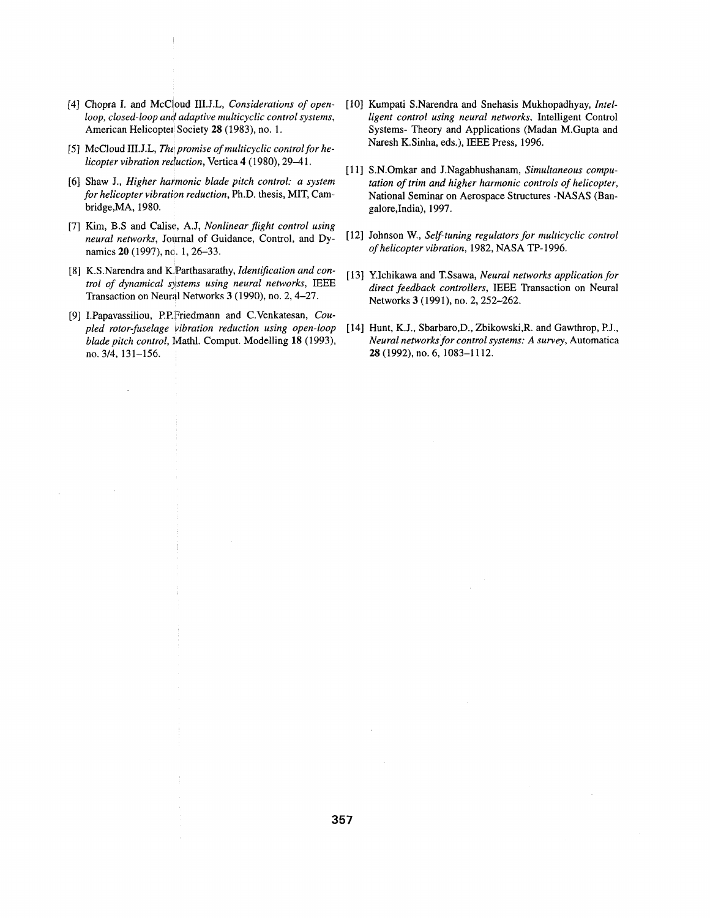- 141 Chopra I. and McCl'oud III.J.L, *Considerations of openloop, closed-loop and adaptive multicyclic control systems,*  American Helicopter Society **28** (1983), no. 1.
- [5] McCloud III.J.L, *The promise of multicyclic control for helicopter vibration recluction, Vertica* 4 (1980), 29-41.
- [6] Shaw J., *Higher harmonic blade pitch control: a system for helicopter vibration reduction, Ph.D. thesis, MIT, Cam*bridge,MA, 1980.
- [7] Kim, B.S and Calise, A.J, *Nonlinear flight control using neural networks,* Joiirnal *of* Guidance, Control, and Dynamics **20** (1997), ncl. 1,26-33.
- [ 81 K.S.Narendra and K.Parthasarathy, *Identification and control of dynamical systems using neural networks,* IEEE Transaction on Neural Networks **3** (1990), no. 2,4-27.
- [9] I.Papavassiliou, P.P.Friedmann and C.Venkatesan, Cou*pled rotor-jiuselage vibration reduction using open-loop blade pitch control,* Iklathl. Comput. Modelling **18** (1993), no. 314, 131-156.
- [ 101 Kumpati S.Narendra and Snehasis Mukhopadhyay, *Intelligent control using neural networks,* Intelligent Control Systems- Theory and Applications (Madan M.Gupta and Naresh K.Sinha, eds.), IEEE Press, 1996.
- [ 1 11 S.N.Omkar and J.Nagabhushanam, *Simultaneous computation of trim and higher harmonic controls of helicopter,*  National Seminar on Aerospace Structures -NASAS (Bangalore,India), 1997.
- [ 121 Johnson W., *Selj-tuning regulators for multicyclic control of helicopter vibration,* 1982, NASA TP-1996.
- [ 131 Y.Ichikawa and T.Ssawa, *Neural networks application for direct feedback controllers,* IEEE Transaction *on* Neural Networks 3 (1991), no. 2, 252-262.
- [14] Hunt, K.J., Sbarbaro, D., Zbikowski, R. and Gawthrop, P.J., *Neural networks for control systems: A survey,* Automatica *28* (1992), no. 6, 1083-1 112.